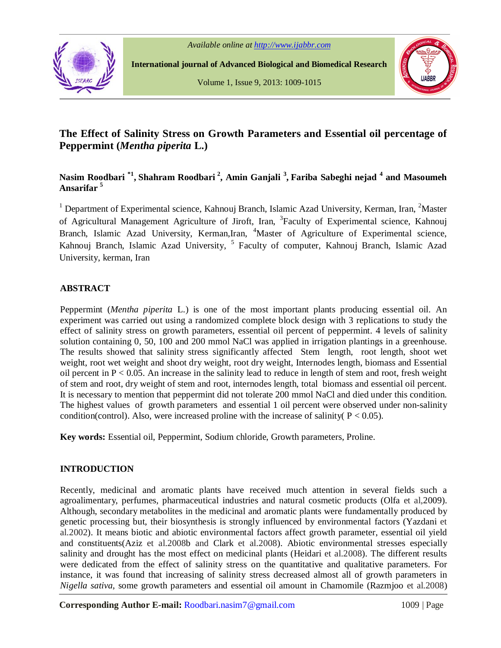

 **International journal of Advanced Biological and Biomedical Research**

Volume 1, Issue 9, 2013: 1009-1015



# **The Effect of Salinity Stress on Growth Parameters and Essential oil percentage of Peppermint (***Mentha piperita* **L.)**

# **Nasim Roodbari \*1 , Shahram Roodbari <sup>2</sup> , Amin Ganjali <sup>3</sup> , Fariba Sabeghi nejad <sup>4</sup> and Masoumeh Ansarifar <sup>5</sup>**

<sup>1</sup> Department of Experimental science, Kahnouj Branch, Islamic Azad University, Kerman, Iran, <sup>2</sup>Master of Agricultural Management Agriculture of Jiroft, Iran, <sup>3</sup> Faculty of Experimental science, Kahnouj Branch, Islamic Azad University, Kerman, Iran, <sup>4</sup>Master of Agriculture of Experimental science, Kahnouj Branch, Islamic Azad University, <sup>5</sup> Faculty of computer, Kahnouj Branch, Islamic Azad University, kerman, Iran

## **ABSTRACT**

Peppermint (*Mentha piperita* L.) is one of the most important plants producing essential oil. An experiment was carried out using a randomized complete block design with 3 replications to study the effect of salinity stress on growth parameters, essential oil percent of peppermint. 4 levels of salinity solution containing 0, 50, 100 and 200 mmol NaCl was applied in irrigation plantings in a greenhouse. The results showed that salinity stress significantly affected Stem length, root length, shoot wet weight, root wet weight and shoot dry weight, root dry weight, Internodes length, biomass and Essential oil percent in  $P < 0.05$ . An increase in the salinity lead to reduce in length of stem and root, fresh weight of stem and root, dry weight of stem and root, internodes length, total biomass and essential oil percent. It is necessary to mention that peppermint did not tolerate 200 mmol NaCl and died under this condition. The highest values of growth parameters and essential 1 oil percent were observed under non-salinity condition(control). Also, were increased proline with the increase of salinity(  $P < 0.05$ ).

**Key words:** Essential oil, Peppermint, Sodium chloride, Growth parameters, Proline.

## **INTRODUCTION**

Recently, medicinal and aromatic plants have received much attention in several fields such a agroalimentary, perfumes, pharmaceutical industries and natural cosmetic products (Olfa et al,2009). Although, secondary metabolites in the medicinal and aromatic plants were fundamentally produced by genetic processing but, their biosynthesis is strongly influenced by environmental factors (Yazdani et al.2002). It means biotic and abiotic environmental factors affect growth parameter, essential oil yield and constituents(Aziz et al.2008b and Clark et al.2008). Abiotic environmental stresses especially salinity and drought has the most effect on medicinal plants (Heidari et al.2008). The different results were dedicated from the effect of salinity stress on the quantitative and qualitative parameters. For instance, it was found that increasing of salinity stress decreased almost all of growth parameters in *Nigella sativa*, some growth parameters and essential oil amount in Chamomile (Razmjoo et al.2008)

**Corresponding Author E-mail:** Roodbari.nasim7@gmail.com 1009 | Page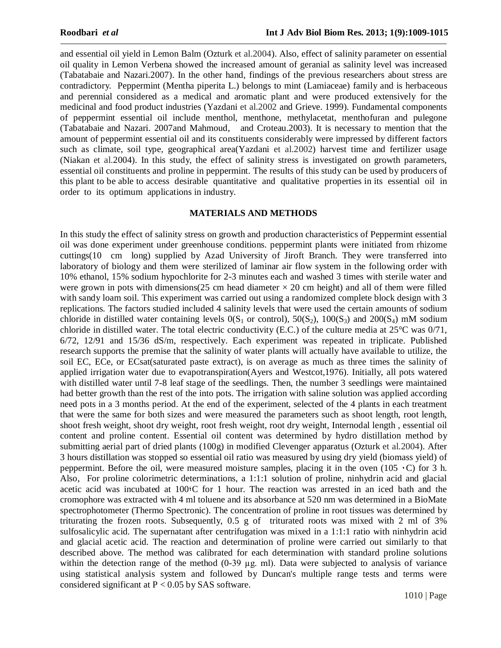and essential oil yield in Lemon Balm (Ozturk et al.2004). Also, effect of salinity parameter on essential oil quality in Lemon Verbena showed the increased amount of geranial as salinity level was increased (Tabatabaie and Nazari.2007). In the other hand, findings of the previous researchers about stress are contradictory. Peppermint (Mentha piperita L.) belongs to mint (Lamiaceae) family and is herbaceous and perennial considered as a medical and aromatic plant and were produced extensively for the medicinal and food product industries (Yazdani et al.2002 and Grieve. 1999). Fundamental components of peppermint essential oil include menthol, menthone, methylacetat, menthofuran and pulegone (Tabatabaie and Nazari. 2007and Mahmoud, and Croteau.2003). It is necessary to mention that the amount of peppermint essential oil and its constituents considerably were impressed by different factors such as climate, soil type, geographical area(Yazdani et al.2002) harvest time and fertilizer usage (Niakan et al.2004). In this study, the effect of salinity stress is investigated on growth parameters, essential oil constituents and proline in peppermint. The results of this study can be used by producers of this plant to be able to access desirable quantitative and qualitative properties in its essential oil in order to its optimum applications in industry.

#### **MATERIALS AND METHODS**

In this study the effect of salinity stress on growth and production characteristics of Peppermint essential oil was done experiment under greenhouse conditions. peppermint plants were initiated from rhizome cuttings(10 cm long) supplied by Azad University of Jiroft Branch. They were transferred into laboratory of biology and them were sterilized of laminar air flow system in the following order with 10% ethanol, 15% sodium hypochlorite for 2-3 minutes each and washed 3 times with sterile water and were grown in pots with dimensions(25 cm head diameter  $\times$  20 cm height) and all of them were filled with sandy loam soil. This experiment was carried out using a randomized complete block design with 3 replications. The factors studied included 4 salinity levels that were used the certain amounts of sodium chloride in distilled water containing levels  $0(S_1 \text{ or control})$ ,  $50(S_2)$ ,  $100(S_3)$  and  $200(S_4)$  mM sodium chloride in distilled water. The total electric conductivity (E.C.) of the culture media at  $25^{\circ}$ C was  $0/71$ , 6/72, 12/91 and 15/36 dS/m, respectively. Each experiment was repeated in triplicate. Published research supports the premise that the salinity of water plants will actually have available to utilize, the soil EC, ECe, or ECsat(saturated paste extract), is on average as much as three times the salinity of applied irrigation water due to evapotranspiration(Ayers and Westcot,1976). Initially, all pots watered with distilled water until 7-8 leaf stage of the seedlings. Then, the number 3 seedlings were maintained had better growth than the rest of the into pots. The irrigation with saline solution was applied according need pots in a 3 months period. At the end of the experiment, selected of the 4 plants in each treatment that were the same for both sizes and were measured the parameters such as shoot length, root length, shoot fresh weight, shoot dry weight, root fresh weight, root dry weight, Internodal length , essential oil content and proline content. Essential oil content was determined by hydro distillation method by submitting aerial part of dried plants (100g) in modified Clevenger apparatus (Ozturk et al.2004). After 3 hours distillation was stopped so essential oil ratio was measured by using dry yield (biomass yield) of peppermint. Before the oil, were measured moisture samples, placing it in the oven (105  $\cdot$ C) for 3 h. Also, For proline colorimetric determinations, a 1:1:1 solution of proline, ninhydrin acid and glacial acetic acid was incubated at 100؛C for 1 hour. The reaction was arrested in an iced bath and the cromophore was extracted with 4 ml toluene and its absorbance at 520 nm was determined in a BioMate spectrophotometer (Thermo Spectronic). The concentration of proline in root tissues was determined by triturating the frozen roots. Subsequently, 0.5 g of triturated roots was mixed with 2 ml of 3% sulfosalicylic acid. The supernatant after centrifugation was mixed in a 1:1:1 ratio with ninhydrin acid and glacial acetic acid. The reaction and determination of proline were carried out similarly to that described above. The method was calibrated for each determination with standard proline solutions within the detection range of the method  $(0-39 \mu g)$ . Data were subjected to analysis of variance using statistical analysis system and followed by Duncan's multiple range tests and terms were considered significant at  $P < 0.05$  by SAS software.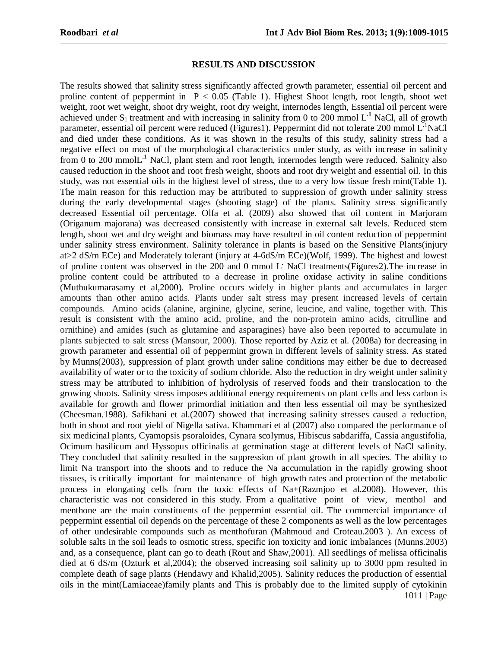#### **RESULTS AND DISCUSSION**

1011 | Page The results showed that salinity stress significantly affected growth parameter, essential oil percent and proline content of peppermint in  $P < 0.05$  (Table 1). Highest Shoot length, root length, shoot wet weight, root wet weight, shoot dry weight, root dry weight, internodes length, Essential oil percent were achieved under  $S_1$  treatment and with increasing in salinity from 0 to 200 mmol  $L<sup>1</sup>$  NaCl, all of growth parameter, essential oil percent were reduced (Figures1). Peppermint did not tolerate 200 mmol L **.**<sup>1</sup>NaCl and died under these conditions. As it was shown in the results of this study, salinity stress had a negative effect on most of the morphological characteristics under study, as with increase in salinity from 0 to 200 mmolL<sup>.1</sup> NaCl, plant stem and root length, internodes length were reduced. Salinity also caused reduction in the shoot and root fresh weight, shoots and root dry weight and essential oil. In this study, was not essential oils in the highest level of stress, due to a very low tissue fresh mint(Table 1). The main reason for this reduction may be attributed to suppression of growth under salinity stress during the early developmental stages (shooting stage) of the plants. Salinity stress significantly decreased Essential oil percentage. Olfa et al. (2009) also showed that oil content in Marjoram (Origanum majorana) was decreased consistently with increase in external salt levels. Reduced stem length, shoot wet and dry weight and biomass may have resulted in oil content reduction of peppermint under salinity stress environment. Salinity tolerance in plants is based on the Sensitive Plants(injury at>2 dS/m ECe) and Moderately tolerant (injury at 4-6dS/m ECe)(Wolf, 1999). The highest and lowest of proline content was observed in the 200 and 0 mmol L**.** NaCl treatments(Figures2).The increase in proline content could be attributed to a decrease in proline oxidase activity in saline conditions (Muthukumarasamy et al,2000). Proline occurs widely in higher plants and accumulates in larger amounts than other amino acids. Plants under salt stress may present increased levels of certain compounds. Amino acids (alanine, arginine, glycine, serine, leucine, and valine, together with. This result is consistent with the amino acid, proline, and the non-protein amino acids, citrulline and ornithine) and amides (such as glutamine and asparagines) have also been reported to accumulate in plants subjected to salt stress (Mansour, 2000). Those reported by Aziz et al. (2008a) for decreasing in growth parameter and essential oil of peppermint grown in different levels of salinity stress. As stated by Munns(2003), suppression of plant growth under saline conditions may either be due to decreased availability of water or to the toxicity of sodium chloride. Also the reduction in dry weight under salinity stress may be attributed to inhibition of hydrolysis of reserved foods and their translocation to the growing shoots. Salinity stress imposes additional energy requirements on plant cells and less carbon is available for growth and flower primordial initiation and then less essential oil may be synthesized (Cheesman.1988). Safikhani et al.(2007) showed that increasing salinity stresses caused a reduction, both in shoot and root yield of Nigella sativa. Khammari et al (2007) also compared the performance of six medicinal plants, Cyamopsis psoraloides, Cynara scolymus, Hibiscus sabdariffa, Cassia angustifolia, Ocimum basilicum and Hyssopus officinalis at germination stage at different levels of NaCl salinity. They concluded that salinity resulted in the suppression of plant growth in all species. The ability to limit Na transport into the shoots and to reduce the Na accumulation in the rapidly growing shoot tissues, is critically important for maintenance of high growth rates and protection of the metabolic process in elongating cells from the toxic effects of Na+(Razmjoo et al.2008). However, this characteristic was not considered in this study. From a qualitative point of view, menthol and menthone are the main constituents of the peppermint essential oil. The commercial importance of peppermint essential oil depends on the percentage of these 2 components as well as the low percentages of other undesirable compounds such as menthofuran (Mahmoud and Croteau.2003 ). An excess of soluble salts in the soil leads to osmotic stress, specific ion toxicity and ionic imbalances (Munns.2003) and, as a consequence, plant can go to death (Rout and Shaw,2001). All seedlings of melissa officinalis died at 6 dS/m (Ozturk et al,2004); the observed increasing soil salinity up to 3000 ppm resulted in complete death of sage plants (Hendawy and Khalid,2005). Salinity reduces the production of essential oils in the mint(Lamiaceae)family plants and This is probably due to the limited supply of cytokinin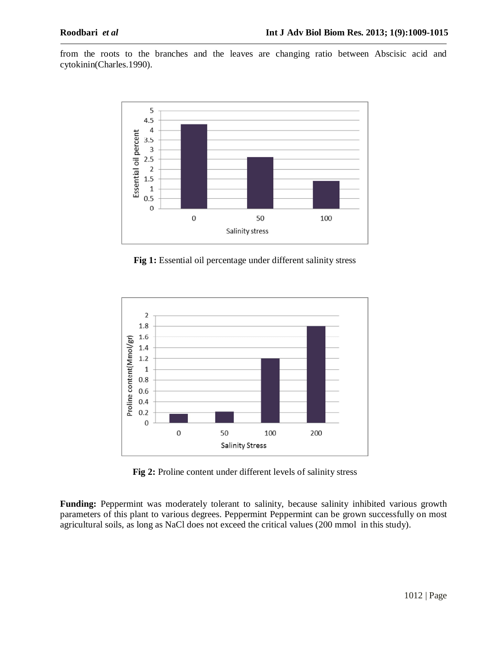from the roots to the branches and the leaves are changing ratio between Abscisic acid and cytokinin(Charles.1990).



**Fig 1:** Essential oil percentage under different salinity stress



**Fig 2:** Proline content under different levels of salinity stress

**Funding:** Peppermint was moderately tolerant to salinity, because salinity inhibited various growth parameters of this plant to various degrees. Peppermint Peppermint can be grown successfully on most agricultural soils, as long as NaCl does not exceed the critical values (200 mmol in this study).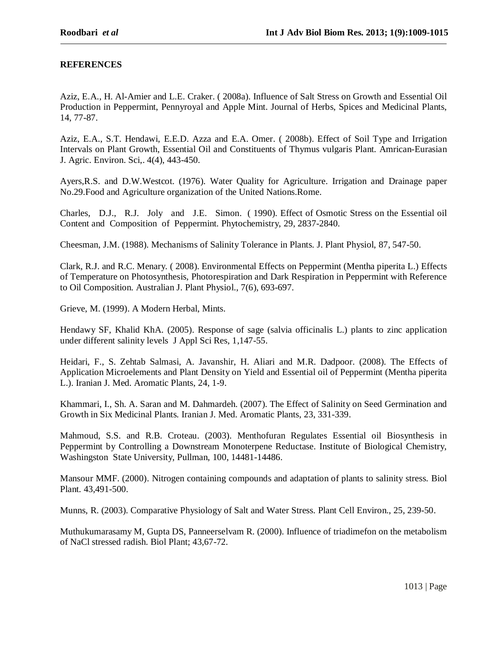### **REFERENCES**

Aziz, E.A., H. Al-Amier and L.E. Craker. ( 2008a). Influence of Salt Stress on Growth and Essential Oil Production in Peppermint, Pennyroyal and Apple Mint. Journal of Herbs, Spices and Medicinal Plants, 14, 77-87.

Aziz, E.A., S.T. Hendawi, E.E.D. Azza and E.A. Omer. ( 2008b). Effect of Soil Type and Irrigation Intervals on Plant Growth, Essential Oil and Constituents of Thymus vulgaris Plant. Amrican-Eurasian J. Agric. Environ. Sci,. 4(4), 443-450.

Ayers,R.S. and D.W.Westcot. (1976). Water Quality for Agriculture. Irrigation and Drainage paper No.29.Food and Agriculture organization of the United Nations.Rome.

Charles, D.J., R.J. Joly and J.E. Simon. ( 1990). Effect of Osmotic Stress on the Essential oil Content and Composition of Peppermint. Phytochemistry, 29, 2837-2840.

Cheesman, J.M. (1988). Mechanisms of Salinity Tolerance in Plants. J. Plant Physiol, 87, 547-50.

Clark, R.J. and R.C. Menary. ( 2008). Environmental Effects on Peppermint (Mentha piperita L.) Effects of Temperature on Photosynthesis, Photorespiration and Dark Respiration in Peppermint with Reference to Oil Composition. Australian J. Plant Physiol., 7(6), 693-697.

Grieve, M. (1999). A Modern Herbal, Mints.

Hendawy SF, Khalid KhA. (2005). Response of sage (salvia officinalis L.) plants to zinc application under different salinity levels J Appl Sci Res, 1,147-55.

Heidari, F., S. Zehtab Salmasi, A. Javanshir, H. Aliari and M.R. Dadpoor. (2008). The Effects of Application Microelements and Plant Density on Yield and Essential oil of Peppermint (Mentha piperita L.). Iranian J. Med. Aromatic Plants, 24, 1-9.

Khammari, I., Sh. A. Saran and M. Dahmardeh. (2007). The Effect of Salinity on Seed Germination and Growth in Six Medicinal Plants. Iranian J. Med. Aromatic Plants, 23, 331-339.

Mahmoud, S.S. and R.B. Croteau. (2003). Menthofuran Regulates Essential oil Biosynthesis in Peppermint by Controlling a Downstream Monoterpene Reductase. Institute of Biological Chemistry, Washingston State University, Pullman, 100, 14481-14486.

Mansour MMF. (2000). Nitrogen containing compounds and adaptation of plants to salinity stress. Biol Plant. 43,491-500.

Munns, R. (2003). Comparative Physiology of Salt and Water Stress. Plant Cell Environ., 25, 239-50.

Muthukumarasamy M, Gupta DS, Panneerselvam R. (2000). Influence of triadimefon on the metabolism of NaCl stressed radish. Biol Plant; 43,67-72.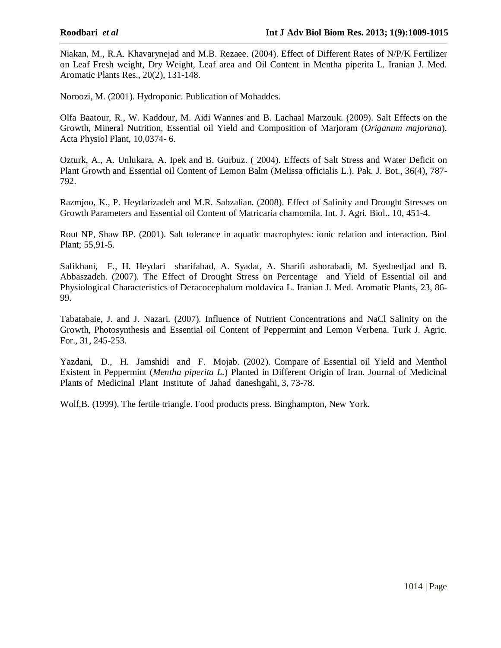Niakan, M., R.A. Khavarynejad and M.B. Rezaee. (2004). Effect of Different Rates of N/P/K Fertilizer on Leaf Fresh weight, Dry Weight, Leaf area and Oil Content in Mentha piperita L. Iranian J. Med. Aromatic Plants Res., 20(2), 131-148.

Noroozi, M. (2001). Hydroponic. Publication of Mohaddes.

Olfa Baatour, R., W. Kaddour, M. Aidi Wannes and B. Lachaal Marzouk. (2009). Salt Effects on the Growth, Mineral Nutrition, Essential oil Yield and Composition of Marjoram (*Origanum majorana*). Acta Physiol Plant, 10,0374- 6.

Ozturk, A., A. Unlukara, A. Ipek and B. Gurbuz. ( 2004). Effects of Salt Stress and Water Deficit on Plant Growth and Essential oil Content of Lemon Balm (Melissa officialis L.). Pak. J. Bot., 36(4), 787- 792.

Razmjoo, K., P. Heydarizadeh and M.R. Sabzalian. (2008). Effect of Salinity and Drought Stresses on Growth Parameters and Essential oil Content of Matricaria chamomila. Int. J. Agri. Biol., 10, 451-4.

Rout NP, Shaw BP. (2001). Salt tolerance in aquatic macrophytes: ionic relation and interaction. Biol Plant; 55,91-5.

Safikhani, F., H. Heydari sharifabad, A. Syadat, A. Sharifi ashorabadi, M. Syednedjad and B. Abbaszadeh. (2007). The Effect of Drought Stress on Percentage and Yield of Essential oil and Physiological Characteristics of Deracocephalum moldavica L. Iranian J. Med. Aromatic Plants, 23, 86- 99.

Tabatabaie, J. and J. Nazari. (2007). Influence of Nutrient Concentrations and NaCl Salinity on the Growth, Photosynthesis and Essential oil Content of Peppermint and Lemon Verbena. Turk J. Agric. For., 31, 245-253.

Yazdani, D., H. Jamshidi and F. Mojab. (2002). Compare of Essential oil Yield and Menthol Existent in Peppermint (*Mentha piperita L.*) Planted in Different Origin of Iran. Journal of Medicinal Plants of Medicinal Plant Institute of Jahad daneshgahi, 3, 73-78.

Wolf,B. (1999). The fertile triangle. Food products press. Binghampton, New York.